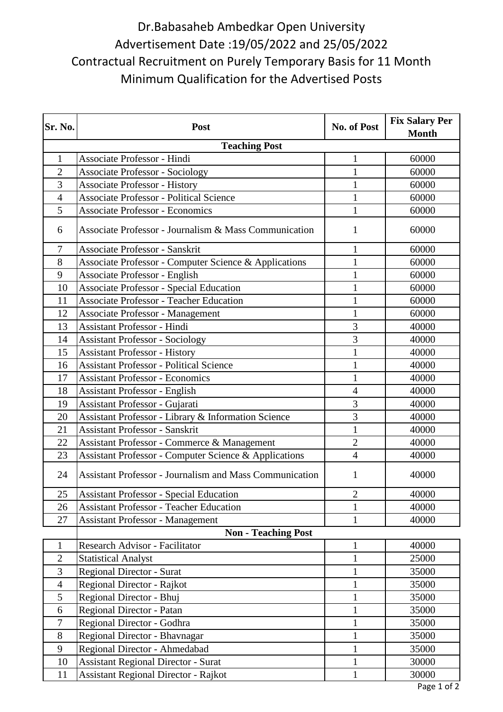## Dr.Babasaheb Ambedkar Open University Advertisement Date :19/05/2022 and 25/05/2022 Contractual Recruitment on Purely Temporary Basis for 11 Month Minimum Qualification for the Advertised Posts

| Sr. No.              | <b>Post</b>                                                      | No. of Post    | <b>Fix Salary Per</b><br><b>Month</b> |  |
|----------------------|------------------------------------------------------------------|----------------|---------------------------------------|--|
| <b>Teaching Post</b> |                                                                  |                |                                       |  |
| $\mathbf{1}$         | Associate Professor - Hindi                                      | $\mathbf{1}$   | 60000                                 |  |
| $\overline{2}$       | <b>Associate Professor - Sociology</b>                           | $\mathbf{1}$   | 60000                                 |  |
| 3                    | <b>Associate Professor - History</b>                             | $\mathbf{1}$   | 60000                                 |  |
| $\overline{4}$       | <b>Associate Professor - Political Science</b>                   | $\mathbf{1}$   | 60000                                 |  |
| 5                    | <b>Associate Professor - Economics</b>                           | 1              | 60000                                 |  |
| 6                    | Associate Professor - Journalism & Mass Communication            | 1              | 60000                                 |  |
| $\tau$               | <b>Associate Professor - Sanskrit</b>                            | $\mathbf{1}$   | 60000                                 |  |
| 8                    | Associate Professor - Computer Science & Applications            | 1              | 60000                                 |  |
| 9                    | Associate Professor - English                                    | $\mathbf{1}$   | 60000                                 |  |
| 10                   | <b>Associate Professor - Special Education</b>                   | $\mathbf{1}$   | 60000                                 |  |
| 11                   | <b>Associate Professor - Teacher Education</b>                   | $\mathbf 1$    | 60000                                 |  |
| 12                   | <b>Associate Professor - Management</b>                          | $\mathbf{1}$   | 60000                                 |  |
| 13                   | <b>Assistant Professor - Hindi</b>                               | 3              | 40000                                 |  |
| 14                   | <b>Assistant Professor - Sociology</b>                           | 3              | 40000                                 |  |
| 15                   | <b>Assistant Professor - History</b>                             | $\mathbf{1}$   | 40000                                 |  |
| 16                   | <b>Assistant Professor - Political Science</b>                   | $\mathbf{1}$   | 40000                                 |  |
| 17                   | <b>Assistant Professor - Economics</b>                           | $\mathbf{1}$   | 40000                                 |  |
| 18                   | <b>Assistant Professor - English</b>                             | $\overline{4}$ | 40000                                 |  |
| 19                   | Assistant Professor - Gujarati                                   | $\overline{3}$ | 40000                                 |  |
| 20                   | Assistant Professor - Library & Information Science              | 3              | 40000                                 |  |
| 21                   | <b>Assistant Professor - Sanskrit</b>                            | $\mathbf{1}$   | 40000                                 |  |
| 22                   | Assistant Professor - Commerce & Management                      | $\overline{2}$ | 40000                                 |  |
| 23                   | <b>Assistant Professor - Computer Science &amp; Applications</b> | $\overline{4}$ | 40000                                 |  |
| 24                   | <b>Assistant Professor - Journalism and Mass Communication</b>   | 1              | 40000                                 |  |
| 25                   | Assistant Professor - Special Education                          | $\overline{c}$ | 40000                                 |  |
| 26                   | <b>Assistant Professor - Teacher Education</b>                   | $\mathbf{1}$   | 40000                                 |  |
| 27                   | <b>Assistant Professor - Management</b>                          | $\mathbf{1}$   | 40000                                 |  |
|                      | <b>Non - Teaching Post</b>                                       |                |                                       |  |
| 1                    | Research Advisor - Facilitator                                   | $\mathbf{1}$   | 40000                                 |  |
| $\overline{2}$       | <b>Statistical Analyst</b>                                       | $\mathbf{1}$   | 25000                                 |  |
| 3                    | <b>Regional Director - Surat</b>                                 | 1              | 35000                                 |  |
| $\overline{4}$       | Regional Director - Rajkot                                       | $\mathbf{1}$   | 35000                                 |  |
| 5                    | Regional Director - Bhuj                                         | $\mathbf{1}$   | 35000                                 |  |
| 6                    | Regional Director - Patan                                        | 1              | 35000                                 |  |
| $\overline{7}$       | Regional Director - Godhra                                       | 1              | 35000                                 |  |
| 8                    | Regional Director - Bhavnagar                                    | $\mathbf{1}$   | 35000                                 |  |
| 9                    | Regional Director - Ahmedabad                                    | $\mathbf{1}$   | 35000                                 |  |
| 10                   | <b>Assistant Regional Director - Surat</b>                       | $\mathbf{1}$   | 30000                                 |  |
| 11                   | <b>Assistant Regional Director - Rajkot</b>                      | $\mathbf{1}$   | 30000                                 |  |